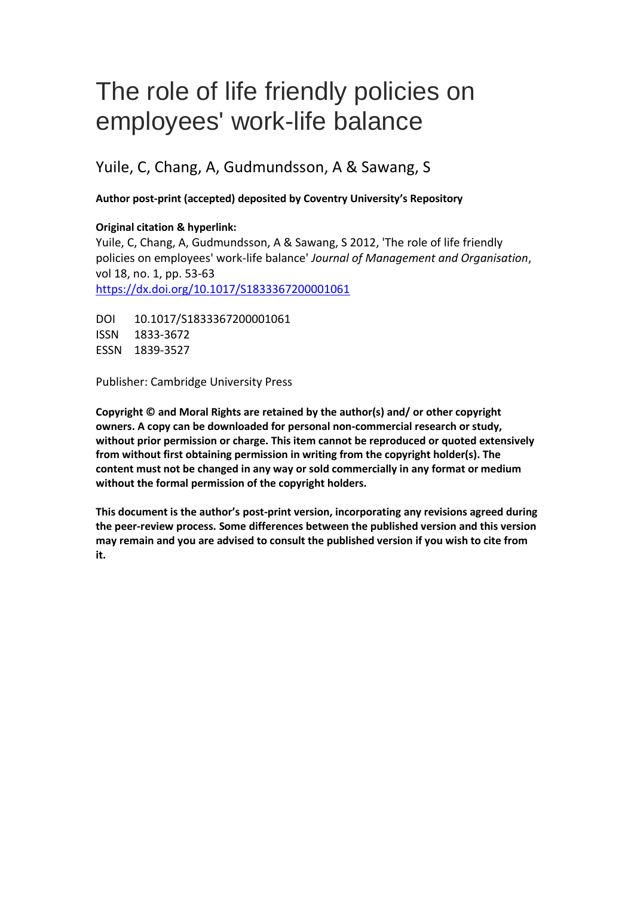## The role of life friendly policies on employees' work-life balance

### Yuile, C, Chang, A, Gudmundsson, A & Sawang, S

#### **Author post-print (accepted) deposited by Coventry University's Repository**

#### **Original citation & hyperlink:**

Yuile, C, Chang, A, Gudmundsson, A & Sawang, S 2012, 'The role of life friendly policies on employees' work-life balance' *Journal of Management and Organisation*, vol 18, no. 1, pp. 53-63 <https://dx.doi.org/10.1017/S1833367200001061>

DOI 10.1017/S1833367200001061 ISSN 1833-3672 ESSN 1839-3527

Publisher: Cambridge University Press

**Copyright © and Moral Rights are retained by the author(s) and/ or other copyright owners. A copy can be downloaded for personal non-commercial research or study, without prior permission or charge. This item cannot be reproduced or quoted extensively from without first obtaining permission in writing from the copyright holder(s). The content must not be changed in any way or sold commercially in any format or medium without the formal permission of the copyright holders.** 

**This document is the author's post-print version, incorporating any revisions agreed during the peer-review process. Some differences between the published version and this version may remain and you are advised to consult the published version if you wish to cite from it.**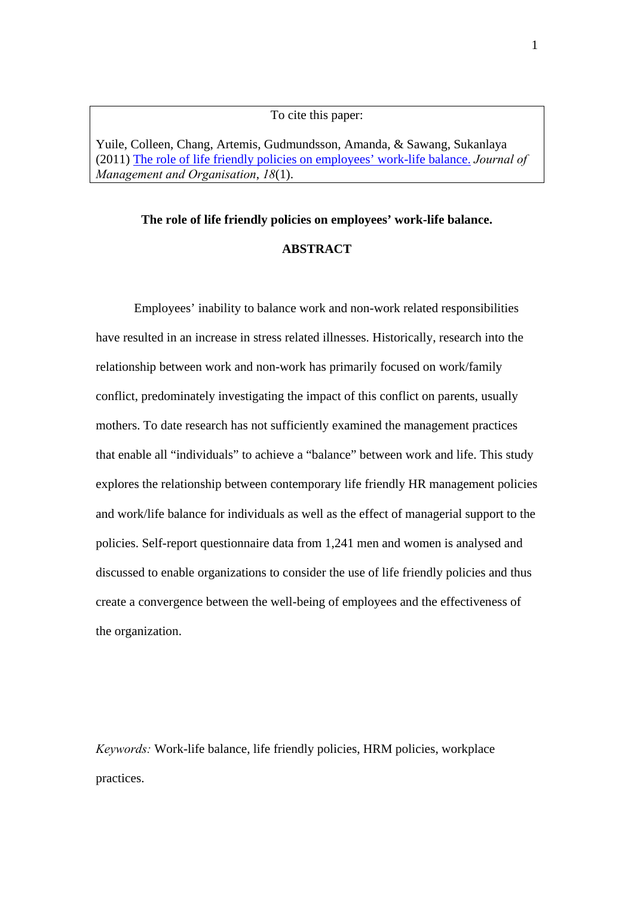#### To cite this paper:

Yuile, Colleen, Chang, Artemis, Gudmundsson, Amanda, & Sawang, Sukanlaya (2011) The role of life friendly policies on employees' work-life balance. *Journal of Management and Organisation*, *18*(1).

#### **The role of life friendly policies on employees' work-life balance.**

#### **ABSTRACT**

Employees' inability to balance work and non-work related responsibilities have resulted in an increase in stress related illnesses. Historically, research into the relationship between work and non-work has primarily focused on work/family conflict, predominately investigating the impact of this conflict on parents, usually mothers. To date research has not sufficiently examined the management practices that enable all "individuals" to achieve a "balance" between work and life. This study explores the relationship between contemporary life friendly HR management policies and work/life balance for individuals as well as the effect of managerial support to the policies. Self-report questionnaire data from 1,241 men and women is analysed and discussed to enable organizations to consider the use of life friendly policies and thus create a convergence between the well-being of employees and the effectiveness of the organization.

*Keywords:* Work-life balance, life friendly policies, HRM policies, workplace practices.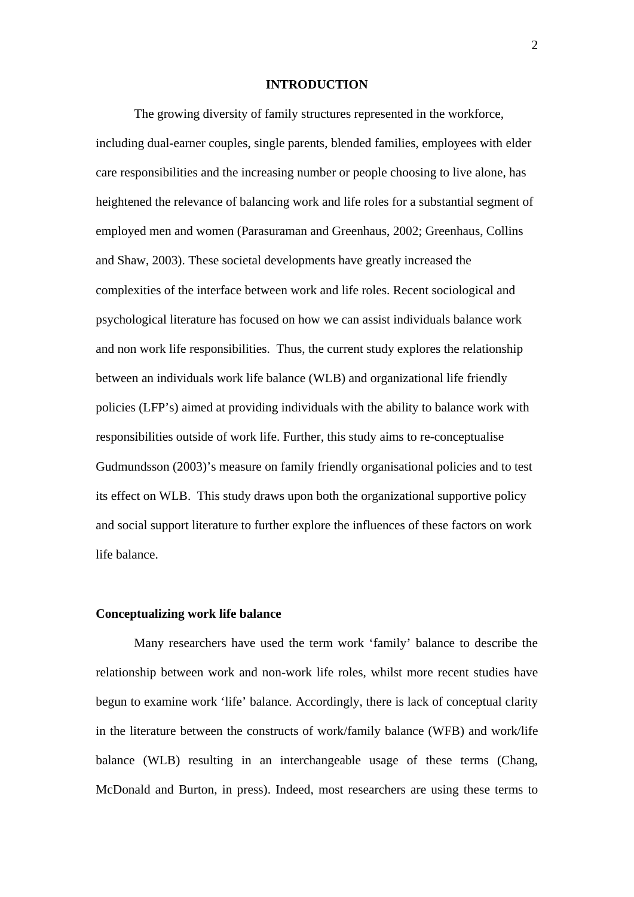#### **INTRODUCTION**

The growing diversity of family structures represented in the workforce, including dual-earner couples, single parents, blended families, employees with elder care responsibilities and the increasing number or people choosing to live alone, has heightened the relevance of balancing work and life roles for a substantial segment of employed men and women (Parasuraman and Greenhaus, 2002; Greenhaus, Collins and Shaw, 2003). These societal developments have greatly increased the complexities of the interface between work and life roles. Recent sociological and psychological literature has focused on how we can assist individuals balance work and non work life responsibilities. Thus, the current study explores the relationship between an individuals work life balance (WLB) and organizational life friendly policies (LFP's) aimed at providing individuals with the ability to balance work with responsibilities outside of work life. Further, this study aims to re-conceptualise Gudmundsson (2003)'s measure on family friendly organisational policies and to test its effect on WLB. This study draws upon both the organizational supportive policy and social support literature to further explore the influences of these factors on work life balance.

#### **Conceptualizing work life balance**

 Many researchers have used the term work 'family' balance to describe the relationship between work and non-work life roles, whilst more recent studies have begun to examine work 'life' balance. Accordingly, there is lack of conceptual clarity in the literature between the constructs of work/family balance (WFB) and work/life balance (WLB) resulting in an interchangeable usage of these terms (Chang, McDonald and Burton, in press). Indeed, most researchers are using these terms to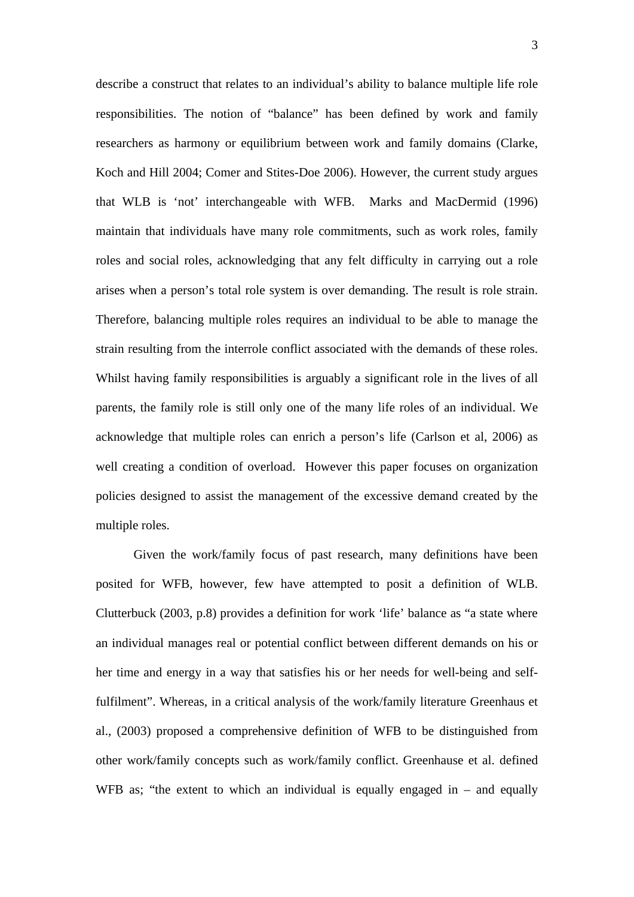describe a construct that relates to an individual's ability to balance multiple life role responsibilities. The notion of "balance" has been defined by work and family researchers as harmony or equilibrium between work and family domains (Clarke, Koch and Hill 2004; Comer and Stites-Doe 2006). However, the current study argues that WLB is 'not' interchangeable with WFB. Marks and MacDermid (1996) maintain that individuals have many role commitments, such as work roles, family roles and social roles, acknowledging that any felt difficulty in carrying out a role arises when a person's total role system is over demanding. The result is role strain. Therefore, balancing multiple roles requires an individual to be able to manage the strain resulting from the interrole conflict associated with the demands of these roles. Whilst having family responsibilities is arguably a significant role in the lives of all parents, the family role is still only one of the many life roles of an individual. We acknowledge that multiple roles can enrich a person's life (Carlson et al, 2006) as well creating a condition of overload. However this paper focuses on organization policies designed to assist the management of the excessive demand created by the multiple roles.

Given the work/family focus of past research, many definitions have been posited for WFB, however, few have attempted to posit a definition of WLB. Clutterbuck (2003, p.8) provides a definition for work 'life' balance as "a state where an individual manages real or potential conflict between different demands on his or her time and energy in a way that satisfies his or her needs for well-being and selffulfilment". Whereas, in a critical analysis of the work/family literature Greenhaus et al., (2003) proposed a comprehensive definition of WFB to be distinguished from other work/family concepts such as work/family conflict. Greenhause et al. defined WFB as; "the extent to which an individual is equally engaged in – and equally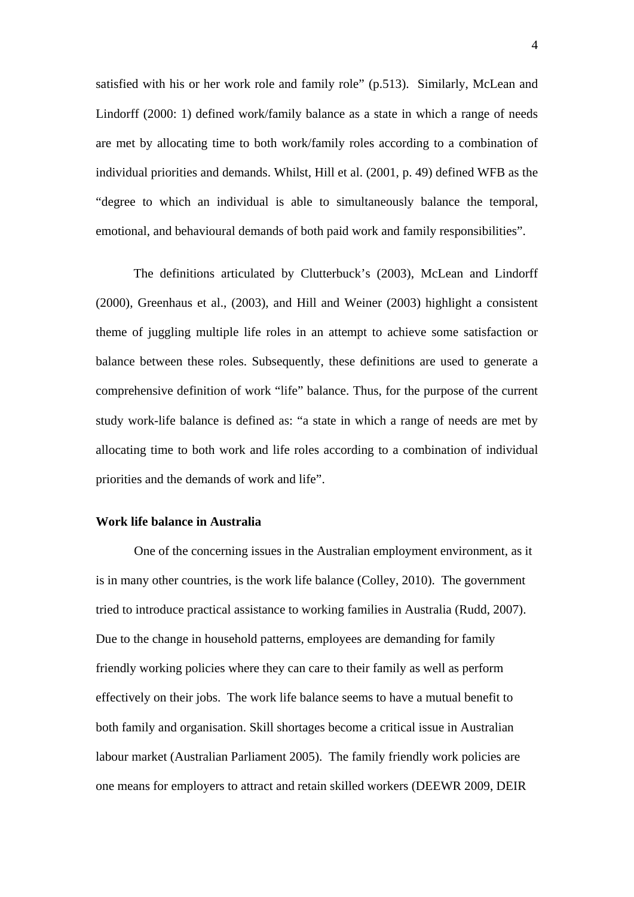satisfied with his or her work role and family role" (p.513). Similarly, McLean and Lindorff (2000: 1) defined work/family balance as a state in which a range of needs are met by allocating time to both work/family roles according to a combination of individual priorities and demands. Whilst, Hill et al. (2001, p. 49) defined WFB as the "degree to which an individual is able to simultaneously balance the temporal, emotional, and behavioural demands of both paid work and family responsibilities".

The definitions articulated by Clutterbuck's (2003), McLean and Lindorff (2000), Greenhaus et al., (2003), and Hill and Weiner (2003) highlight a consistent theme of juggling multiple life roles in an attempt to achieve some satisfaction or balance between these roles. Subsequently, these definitions are used to generate a comprehensive definition of work "life" balance. Thus, for the purpose of the current study work-life balance is defined as: "a state in which a range of needs are met by allocating time to both work and life roles according to a combination of individual priorities and the demands of work and life".

#### **Work life balance in Australia**

One of the concerning issues in the Australian employment environment, as it is in many other countries, is the work life balance (Colley, 2010). The government tried to introduce practical assistance to working families in Australia (Rudd, 2007). Due to the change in household patterns, employees are demanding for family friendly working policies where they can care to their family as well as perform effectively on their jobs. The work life balance seems to have a mutual benefit to both family and organisation. Skill shortages become a critical issue in Australian labour market (Australian Parliament 2005). The family friendly work policies are one means for employers to attract and retain skilled workers (DEEWR 2009, DEIR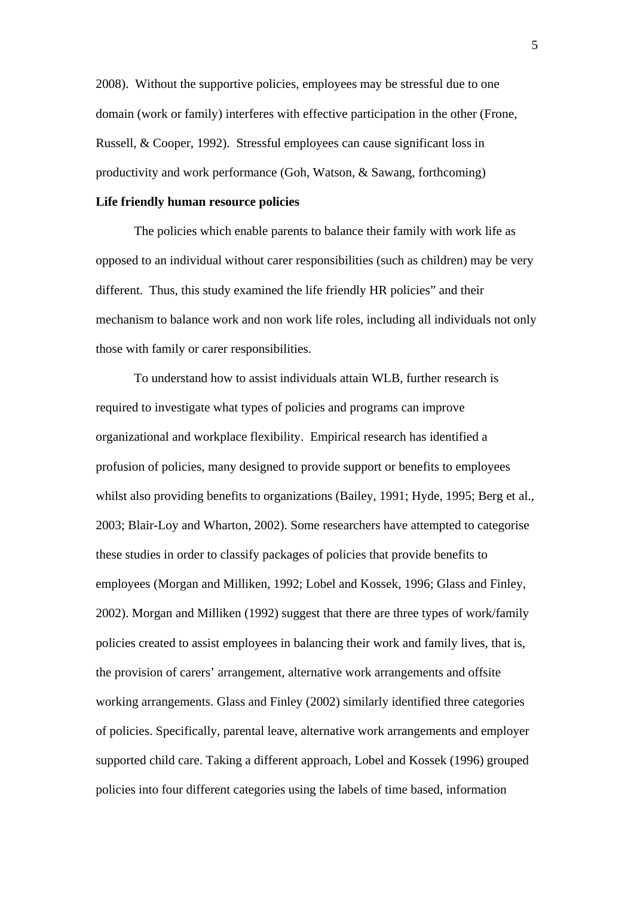2008). Without the supportive policies, employees may be stressful due to one domain (work or family) interferes with effective participation in the other (Frone, Russell, & Cooper, 1992). Stressful employees can cause significant loss in productivity and work performance (Goh, Watson, & Sawang, forthcoming)

#### **Life friendly human resource policies**

The policies which enable parents to balance their family with work life as opposed to an individual without carer responsibilities (such as children) may be very different. Thus, this study examined the life friendly HR policies" and their mechanism to balance work and non work life roles, including all individuals not only those with family or carer responsibilities.

To understand how to assist individuals attain WLB, further research is required to investigate what types of policies and programs can improve organizational and workplace flexibility. Empirical research has identified a profusion of policies, many designed to provide support or benefits to employees whilst also providing benefits to organizations (Bailey, 1991; Hyde, 1995; Berg et al., 2003; Blair-Loy and Wharton, 2002). Some researchers have attempted to categorise these studies in order to classify packages of policies that provide benefits to employees (Morgan and Milliken, 1992; Lobel and Kossek, 1996; Glass and Finley, 2002). Morgan and Milliken (1992) suggest that there are three types of work/family policies created to assist employees in balancing their work and family lives, that is, the provision of carers' arrangement, alternative work arrangements and offsite working arrangements. Glass and Finley (2002) similarly identified three categories of policies. Specifically, parental leave, alternative work arrangements and employer supported child care. Taking a different approach, Lobel and Kossek (1996) grouped policies into four different categories using the labels of time based, information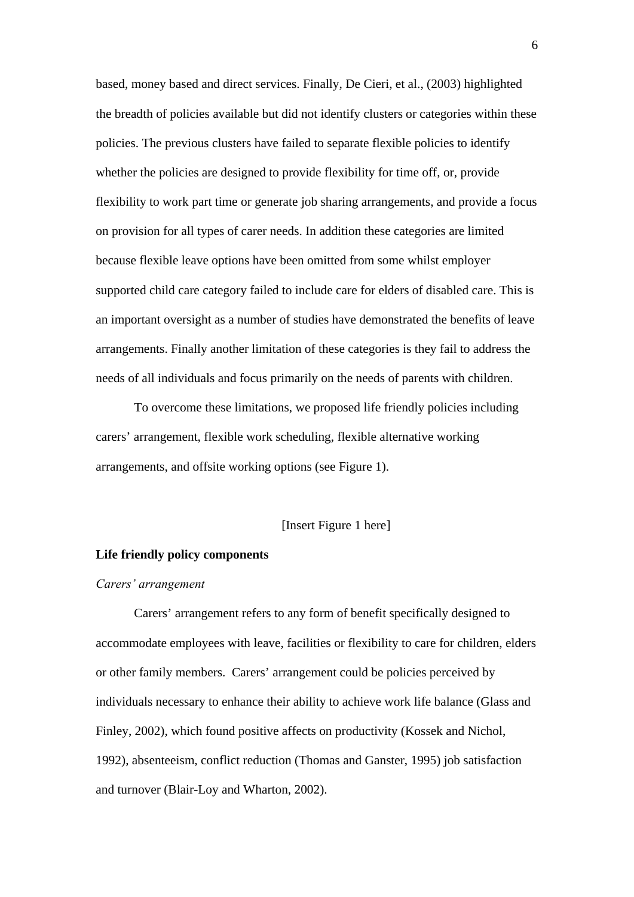based, money based and direct services. Finally, De Cieri, et al., (2003) highlighted the breadth of policies available but did not identify clusters or categories within these policies. The previous clusters have failed to separate flexible policies to identify whether the policies are designed to provide flexibility for time off, or, provide flexibility to work part time or generate job sharing arrangements, and provide a focus on provision for all types of carer needs. In addition these categories are limited because flexible leave options have been omitted from some whilst employer supported child care category failed to include care for elders of disabled care. This is an important oversight as a number of studies have demonstrated the benefits of leave arrangements. Finally another limitation of these categories is they fail to address the needs of all individuals and focus primarily on the needs of parents with children.

To overcome these limitations, we proposed life friendly policies including carers' arrangement, flexible work scheduling, flexible alternative working arrangements, and offsite working options (see Figure 1).

#### [Insert Figure 1 here]

#### **Life friendly policy components**

#### *Carers' arrangement*

Carers' arrangement refers to any form of benefit specifically designed to accommodate employees with leave, facilities or flexibility to care for children, elders or other family members. Carers' arrangement could be policies perceived by individuals necessary to enhance their ability to achieve work life balance (Glass and Finley, 2002), which found positive affects on productivity (Kossek and Nichol, 1992), absenteeism, conflict reduction (Thomas and Ganster, 1995) job satisfaction and turnover (Blair-Loy and Wharton, 2002).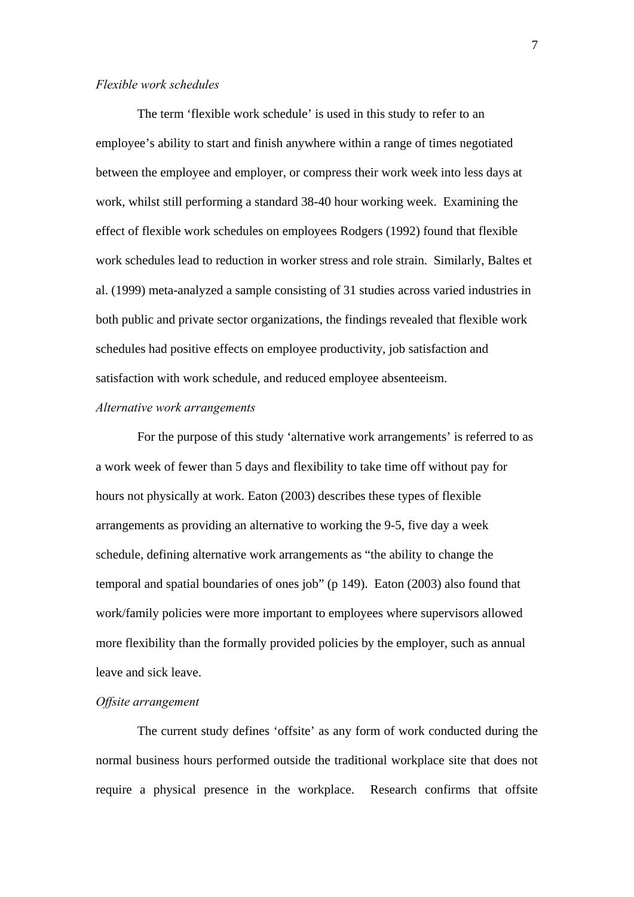#### *Flexible work schedules*

The term 'flexible work schedule' is used in this study to refer to an employee's ability to start and finish anywhere within a range of times negotiated between the employee and employer, or compress their work week into less days at work, whilst still performing a standard 38-40 hour working week. Examining the effect of flexible work schedules on employees Rodgers (1992) found that flexible work schedules lead to reduction in worker stress and role strain. Similarly, Baltes et al. (1999) meta-analyzed a sample consisting of 31 studies across varied industries in both public and private sector organizations, the findings revealed that flexible work schedules had positive effects on employee productivity, job satisfaction and satisfaction with work schedule, and reduced employee absenteeism.

#### *Alternative work arrangements*

For the purpose of this study 'alternative work arrangements' is referred to as a work week of fewer than 5 days and flexibility to take time off without pay for hours not physically at work. Eaton (2003) describes these types of flexible arrangements as providing an alternative to working the 9-5, five day a week schedule, defining alternative work arrangements as "the ability to change the temporal and spatial boundaries of ones job" (p 149). Eaton (2003) also found that work/family policies were more important to employees where supervisors allowed more flexibility than the formally provided policies by the employer, such as annual leave and sick leave.

#### *Offsite arrangement*

The current study defines 'offsite' as any form of work conducted during the normal business hours performed outside the traditional workplace site that does not require a physical presence in the workplace. Research confirms that offsite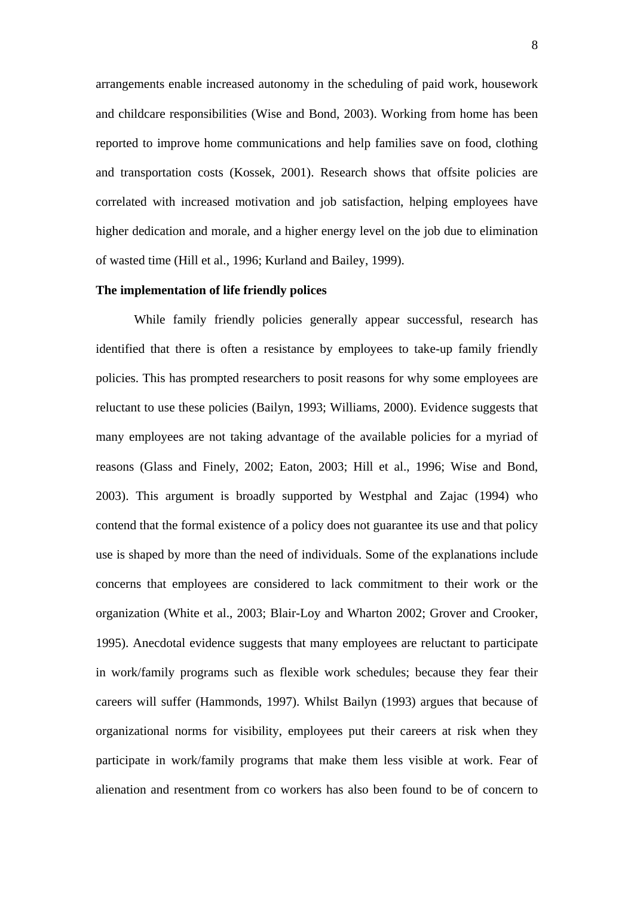arrangements enable increased autonomy in the scheduling of paid work, housework and childcare responsibilities (Wise and Bond, 2003). Working from home has been reported to improve home communications and help families save on food, clothing and transportation costs (Kossek, 2001). Research shows that offsite policies are correlated with increased motivation and job satisfaction, helping employees have higher dedication and morale, and a higher energy level on the job due to elimination of wasted time (Hill et al., 1996; Kurland and Bailey, 1999).

#### **The implementation of life friendly polices**

While family friendly policies generally appear successful, research has identified that there is often a resistance by employees to take-up family friendly policies. This has prompted researchers to posit reasons for why some employees are reluctant to use these policies (Bailyn, 1993; Williams, 2000). Evidence suggests that many employees are not taking advantage of the available policies for a myriad of reasons (Glass and Finely, 2002; Eaton, 2003; Hill et al., 1996; Wise and Bond, 2003). This argument is broadly supported by Westphal and Zajac (1994) who contend that the formal existence of a policy does not guarantee its use and that policy use is shaped by more than the need of individuals. Some of the explanations include concerns that employees are considered to lack commitment to their work or the organization (White et al., 2003; Blair-Loy and Wharton 2002; Grover and Crooker, 1995). Anecdotal evidence suggests that many employees are reluctant to participate in work/family programs such as flexible work schedules; because they fear their careers will suffer (Hammonds, 1997). Whilst Bailyn (1993) argues that because of organizational norms for visibility, employees put their careers at risk when they participate in work/family programs that make them less visible at work. Fear of alienation and resentment from co workers has also been found to be of concern to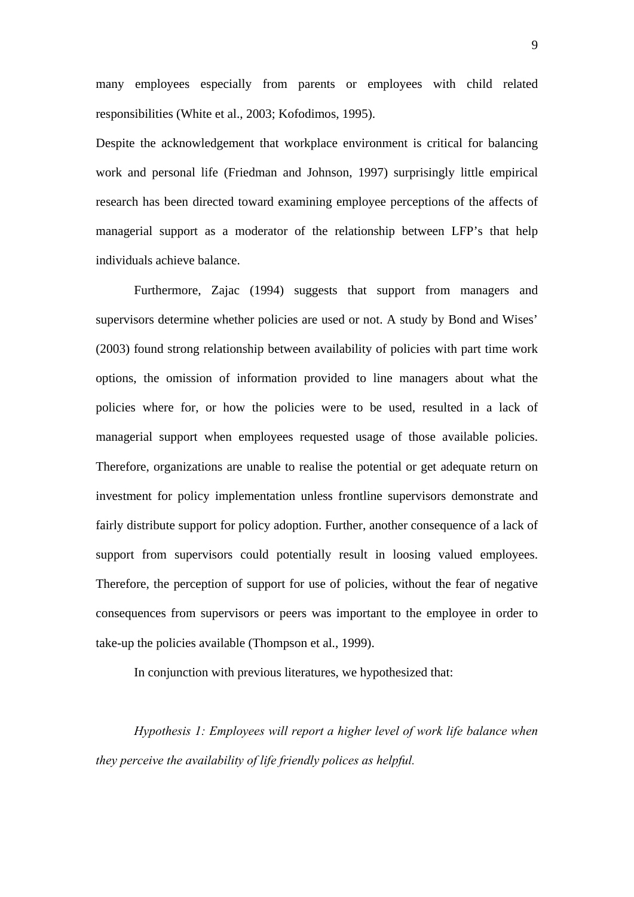many employees especially from parents or employees with child related responsibilities (White et al., 2003; Kofodimos, 1995).

Despite the acknowledgement that workplace environment is critical for balancing work and personal life (Friedman and Johnson, 1997) surprisingly little empirical research has been directed toward examining employee perceptions of the affects of managerial support as a moderator of the relationship between LFP's that help individuals achieve balance.

Furthermore, Zajac (1994) suggests that support from managers and supervisors determine whether policies are used or not. A study by Bond and Wises' (2003) found strong relationship between availability of policies with part time work options, the omission of information provided to line managers about what the policies where for, or how the policies were to be used, resulted in a lack of managerial support when employees requested usage of those available policies. Therefore, organizations are unable to realise the potential or get adequate return on investment for policy implementation unless frontline supervisors demonstrate and fairly distribute support for policy adoption. Further, another consequence of a lack of support from supervisors could potentially result in loosing valued employees. Therefore, the perception of support for use of policies, without the fear of negative consequences from supervisors or peers was important to the employee in order to take-up the policies available (Thompson et al., 1999).

In conjunction with previous literatures, we hypothesized that:

*Hypothesis 1: Employees will report a higher level of work life balance when they perceive the availability of life friendly polices as helpful.*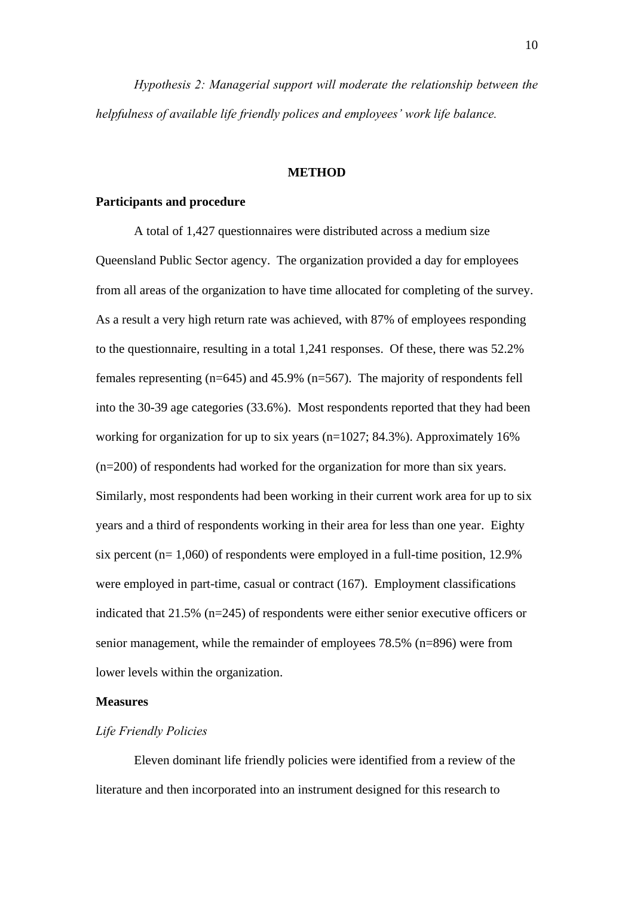*Hypothesis 2: Managerial support will moderate the relationship between the helpfulness of available life friendly polices and employees' work life balance.* 

#### **METHOD**

#### **Participants and procedure**

 A total of 1,427 questionnaires were distributed across a medium size Queensland Public Sector agency. The organization provided a day for employees from all areas of the organization to have time allocated for completing of the survey. As a result a very high return rate was achieved, with 87% of employees responding to the questionnaire, resulting in a total 1,241 responses. Of these, there was 52.2% females representing  $(n=645)$  and 45.9%  $(n=567)$ . The majority of respondents fell into the 30-39 age categories (33.6%). Most respondents reported that they had been working for organization for up to six years (n=1027; 84.3%). Approximately 16% (n=200) of respondents had worked for the organization for more than six years. Similarly, most respondents had been working in their current work area for up to six years and a third of respondents working in their area for less than one year. Eighty six percent (n= 1,060) of respondents were employed in a full-time position, 12.9% were employed in part-time, casual or contract (167). Employment classifications indicated that 21.5% (n=245) of respondents were either senior executive officers or senior management, while the remainder of employees 78.5% (n=896) were from lower levels within the organization.

#### **Measures**

#### *Life Friendly Policies*

Eleven dominant life friendly policies were identified from a review of the literature and then incorporated into an instrument designed for this research to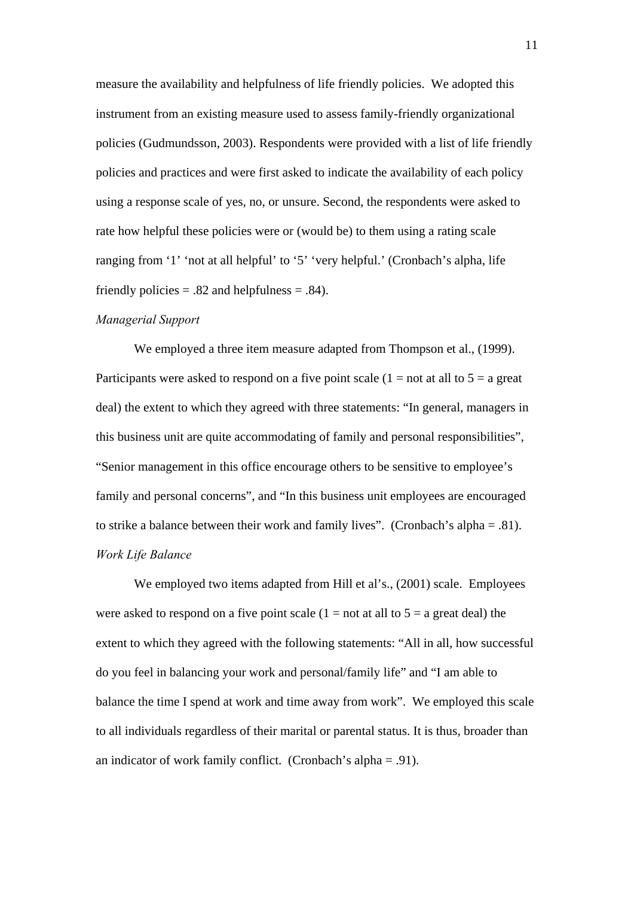measure the availability and helpfulness of life friendly policies. We adopted this instrument from an existing measure used to assess family-friendly organizational policies (Gudmundsson, 2003). Respondents were provided with a list of life friendly policies and practices and were first asked to indicate the availability of each policy using a response scale of yes, no, or unsure. Second, the respondents were asked to rate how helpful these policies were or (would be) to them using a rating scale ranging from '1' 'not at all helpful' to '5' 'very helpful.' (Cronbach's alpha, life friendly policies  $= .82$  and helpfulness  $= .84$ ).

#### *Managerial Support*

We employed a three item measure adapted from Thompson et al., (1999). Participants were asked to respond on a five point scale  $(1 = not at all to 5 = a great)$ deal) the extent to which they agreed with three statements: "In general, managers in this business unit are quite accommodating of family and personal responsibilities", "Senior management in this office encourage others to be sensitive to employee's family and personal concerns", and "In this business unit employees are encouraged to strike a balance between their work and family lives". (Cronbach's alpha = .81). *Work Life Balance* 

We employed two items adapted from Hill et al's., (2001) scale. Employees were asked to respond on a five point scale  $(1 = not at all to 5 = a great deal)$  the extent to which they agreed with the following statements: "All in all, how successful do you feel in balancing your work and personal/family life" and "I am able to balance the time I spend at work and time away from work". We employed this scale to all individuals regardless of their marital or parental status. It is thus, broader than an indicator of work family conflict. (Cronbach's alpha = .91).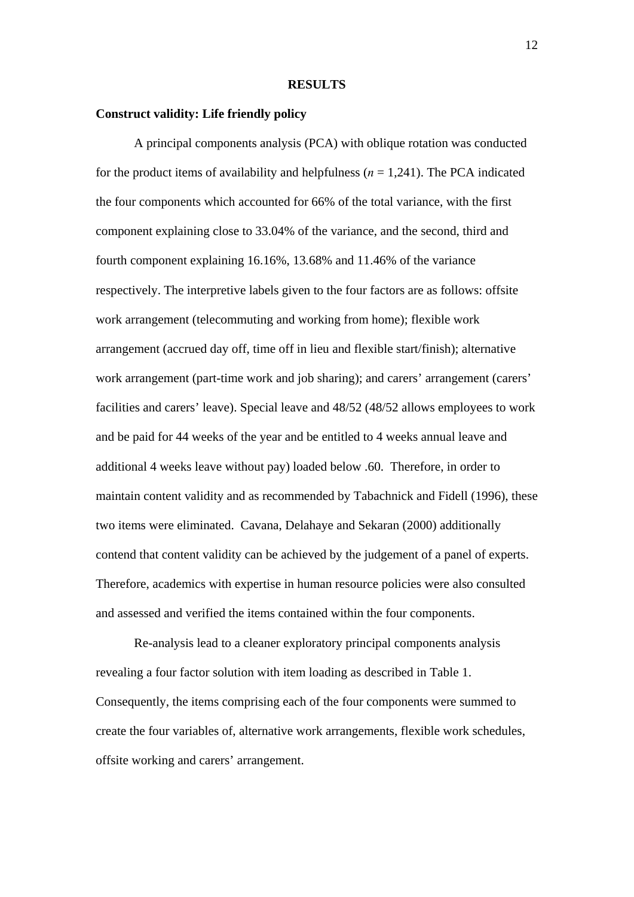#### **RESULTS**

#### **Construct validity: Life friendly policy**

A principal components analysis (PCA) with oblique rotation was conducted for the product items of availability and helpfulness  $(n = 1,241)$ . The PCA indicated the four components which accounted for 66% of the total variance, with the first component explaining close to 33.04% of the variance, and the second, third and fourth component explaining 16.16%, 13.68% and 11.46% of the variance respectively. The interpretive labels given to the four factors are as follows: offsite work arrangement (telecommuting and working from home); flexible work arrangement (accrued day off, time off in lieu and flexible start/finish); alternative work arrangement (part-time work and job sharing); and carers' arrangement (carers' facilities and carers' leave). Special leave and 48/52 (48/52 allows employees to work and be paid for 44 weeks of the year and be entitled to 4 weeks annual leave and additional 4 weeks leave without pay) loaded below .60. Therefore, in order to maintain content validity and as recommended by Tabachnick and Fidell (1996), these two items were eliminated. Cavana, Delahaye and Sekaran (2000) additionally contend that content validity can be achieved by the judgement of a panel of experts. Therefore, academics with expertise in human resource policies were also consulted and assessed and verified the items contained within the four components.

Re-analysis lead to a cleaner exploratory principal components analysis revealing a four factor solution with item loading as described in Table 1. Consequently, the items comprising each of the four components were summed to create the four variables of, alternative work arrangements, flexible work schedules, offsite working and carers' arrangement.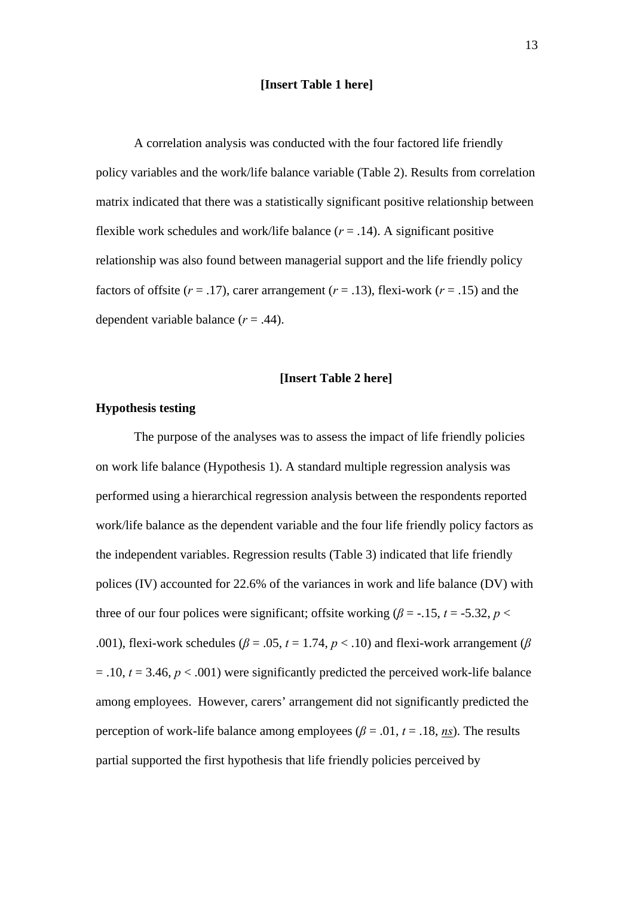#### **[Insert Table 1 here]**

A correlation analysis was conducted with the four factored life friendly policy variables and the work/life balance variable (Table 2). Results from correlation matrix indicated that there was a statistically significant positive relationship between flexible work schedules and work/life balance  $(r = .14)$ . A significant positive relationship was also found between managerial support and the life friendly policy factors of offsite  $(r = .17)$ , carer arrangement  $(r = .13)$ , flexi-work  $(r = .15)$  and the dependent variable balance (*r* = .44).

#### **[Insert Table 2 here]**

#### **Hypothesis testing**

 The purpose of the analyses was to assess the impact of life friendly policies on work life balance (Hypothesis 1). A standard multiple regression analysis was performed using a hierarchical regression analysis between the respondents reported work/life balance as the dependent variable and the four life friendly policy factors as the independent variables. Regression results (Table 3) indicated that life friendly polices (IV) accounted for 22.6% of the variances in work and life balance (DV) with three of our four polices were significant; offsite working ( $\beta$  = -.15, *t* = -5.32, *p* < .001), flexi-work schedules ( $\beta$  = .05,  $t$  = 1.74,  $p$  < .10) and flexi-work arrangement ( $\beta$  $=$  .10,  $t = 3.46$ ,  $p < .001$ ) were significantly predicted the perceived work-life balance among employees. However, carers' arrangement did not significantly predicted the perception of work-life balance among employees ( $\beta$  = .01,  $t$  = .18, *ns*). The results partial supported the first hypothesis that life friendly policies perceived by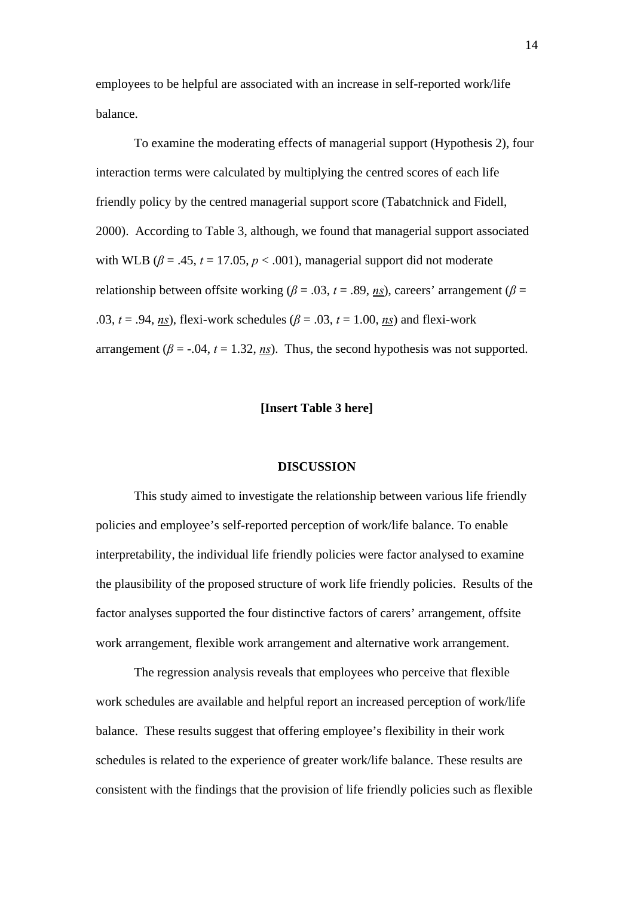employees to be helpful are associated with an increase in self-reported work/life balance.

 To examine the moderating effects of managerial support (Hypothesis 2), four interaction terms were calculated by multiplying the centred scores of each life friendly policy by the centred managerial support score (Tabatchnick and Fidell, 2000). According to Table 3, although, we found that managerial support associated with WLB ( $\beta$  = .45,  $t$  = 17.05,  $p$  < .001), managerial support did not moderate relationship between offsite working ( $\beta$  = .03, *t* = .89, *ns*), careers' arrangement ( $\beta$  = .03,  $t = .94$ , *ns*), flexi-work schedules ( $\beta = .03$ ,  $t = 1.00$ , *ns*) and flexi-work arrangement ( $\beta$  = -.04,  $t$  = 1.32, *ns*). Thus, the second hypothesis was not supported.

#### **[Insert Table 3 here]**

#### **DISCUSSION**

 This study aimed to investigate the relationship between various life friendly policies and employee's self-reported perception of work/life balance. To enable interpretability, the individual life friendly policies were factor analysed to examine the plausibility of the proposed structure of work life friendly policies. Results of the factor analyses supported the four distinctive factors of carers' arrangement, offsite work arrangement, flexible work arrangement and alternative work arrangement.

 The regression analysis reveals that employees who perceive that flexible work schedules are available and helpful report an increased perception of work/life balance. These results suggest that offering employee's flexibility in their work schedules is related to the experience of greater work/life balance. These results are consistent with the findings that the provision of life friendly policies such as flexible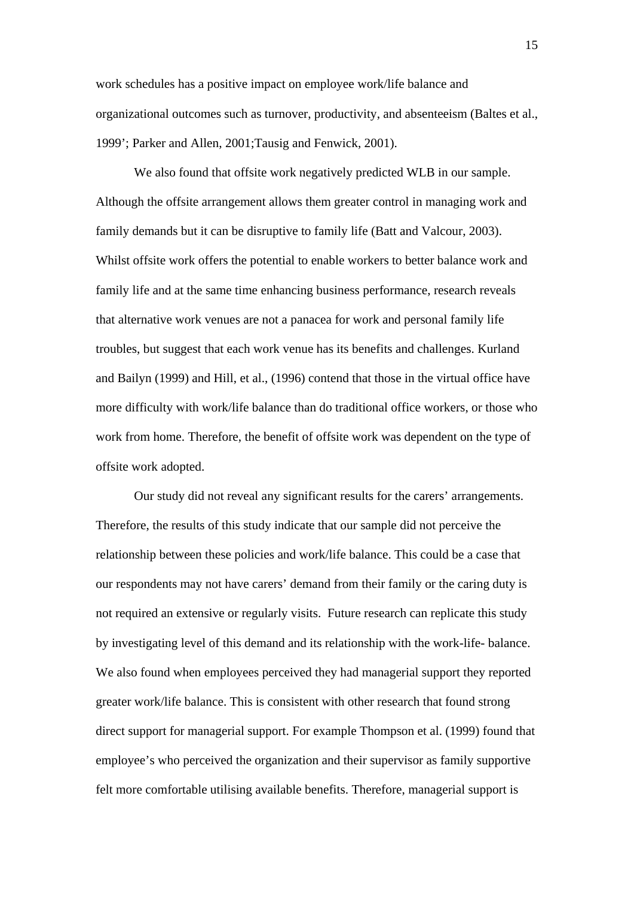work schedules has a positive impact on employee work/life balance and organizational outcomes such as turnover, productivity, and absenteeism (Baltes et al., 1999'; Parker and Allen, 2001;Tausig and Fenwick, 2001).

 We also found that offsite work negatively predicted WLB in our sample. Although the offsite arrangement allows them greater control in managing work and family demands but it can be disruptive to family life (Batt and Valcour, 2003). Whilst offsite work offers the potential to enable workers to better balance work and family life and at the same time enhancing business performance, research reveals that alternative work venues are not a panacea for work and personal family life troubles, but suggest that each work venue has its benefits and challenges. Kurland and Bailyn (1999) and Hill, et al., (1996) contend that those in the virtual office have more difficulty with work/life balance than do traditional office workers, or those who work from home. Therefore, the benefit of offsite work was dependent on the type of offsite work adopted.

 Our study did not reveal any significant results for the carers' arrangements. Therefore, the results of this study indicate that our sample did not perceive the relationship between these policies and work/life balance. This could be a case that our respondents may not have carers' demand from their family or the caring duty is not required an extensive or regularly visits. Future research can replicate this study by investigating level of this demand and its relationship with the work-life- balance. We also found when employees perceived they had managerial support they reported greater work/life balance. This is consistent with other research that found strong direct support for managerial support. For example Thompson et al. (1999) found that employee's who perceived the organization and their supervisor as family supportive felt more comfortable utilising available benefits. Therefore, managerial support is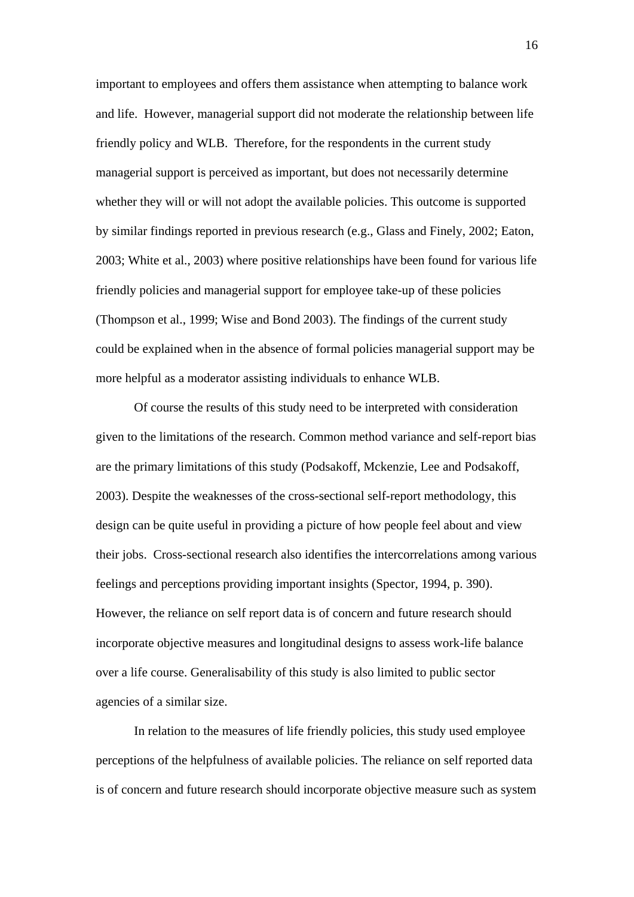important to employees and offers them assistance when attempting to balance work and life. However, managerial support did not moderate the relationship between life friendly policy and WLB. Therefore, for the respondents in the current study managerial support is perceived as important, but does not necessarily determine whether they will or will not adopt the available policies. This outcome is supported by similar findings reported in previous research (e.g., Glass and Finely, 2002; Eaton, 2003; White et al., 2003) where positive relationships have been found for various life friendly policies and managerial support for employee take-up of these policies (Thompson et al., 1999; Wise and Bond 2003). The findings of the current study could be explained when in the absence of formal policies managerial support may be more helpful as a moderator assisting individuals to enhance WLB.

Of course the results of this study need to be interpreted with consideration given to the limitations of the research. Common method variance and self-report bias are the primary limitations of this study (Podsakoff, Mckenzie, Lee and Podsakoff, 2003). Despite the weaknesses of the cross-sectional self-report methodology, this design can be quite useful in providing a picture of how people feel about and view their jobs. Cross-sectional research also identifies the intercorrelations among various feelings and perceptions providing important insights (Spector, 1994, p. 390). However, the reliance on self report data is of concern and future research should incorporate objective measures and longitudinal designs to assess work-life balance over a life course. Generalisability of this study is also limited to public sector agencies of a similar size.

In relation to the measures of life friendly policies, this study used employee perceptions of the helpfulness of available policies. The reliance on self reported data is of concern and future research should incorporate objective measure such as system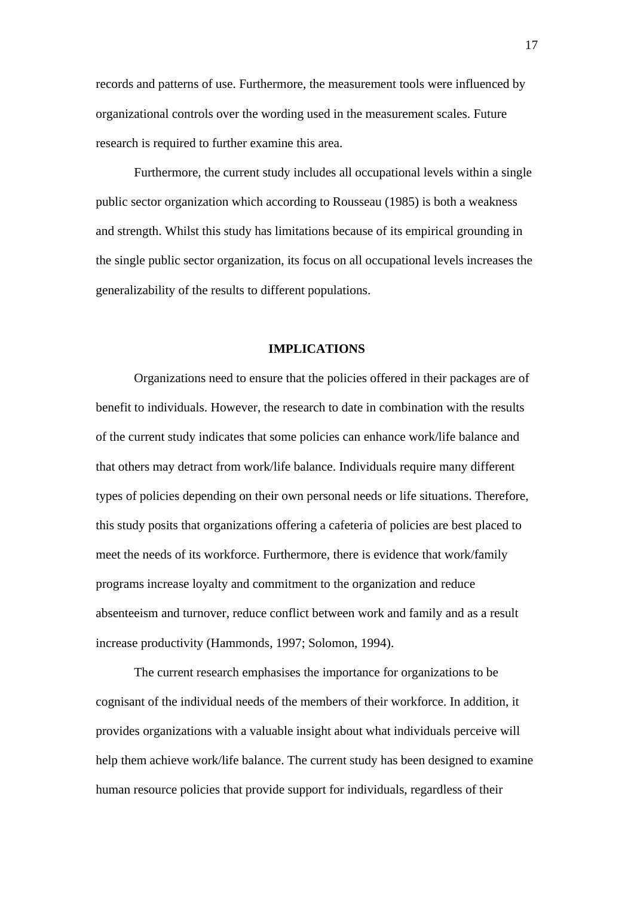records and patterns of use. Furthermore, the measurement tools were influenced by organizational controls over the wording used in the measurement scales. Future research is required to further examine this area.

Furthermore, the current study includes all occupational levels within a single public sector organization which according to Rousseau (1985) is both a weakness and strength. Whilst this study has limitations because of its empirical grounding in the single public sector organization, its focus on all occupational levels increases the generalizability of the results to different populations.

#### **IMPLICATIONS**

Organizations need to ensure that the policies offered in their packages are of benefit to individuals. However, the research to date in combination with the results of the current study indicates that some policies can enhance work/life balance and that others may detract from work/life balance. Individuals require many different types of policies depending on their own personal needs or life situations. Therefore, this study posits that organizations offering a cafeteria of policies are best placed to meet the needs of its workforce. Furthermore, there is evidence that work/family programs increase loyalty and commitment to the organization and reduce absenteeism and turnover, reduce conflict between work and family and as a result increase productivity (Hammonds, 1997; Solomon, 1994).

The current research emphasises the importance for organizations to be cognisant of the individual needs of the members of their workforce. In addition, it provides organizations with a valuable insight about what individuals perceive will help them achieve work/life balance. The current study has been designed to examine human resource policies that provide support for individuals, regardless of their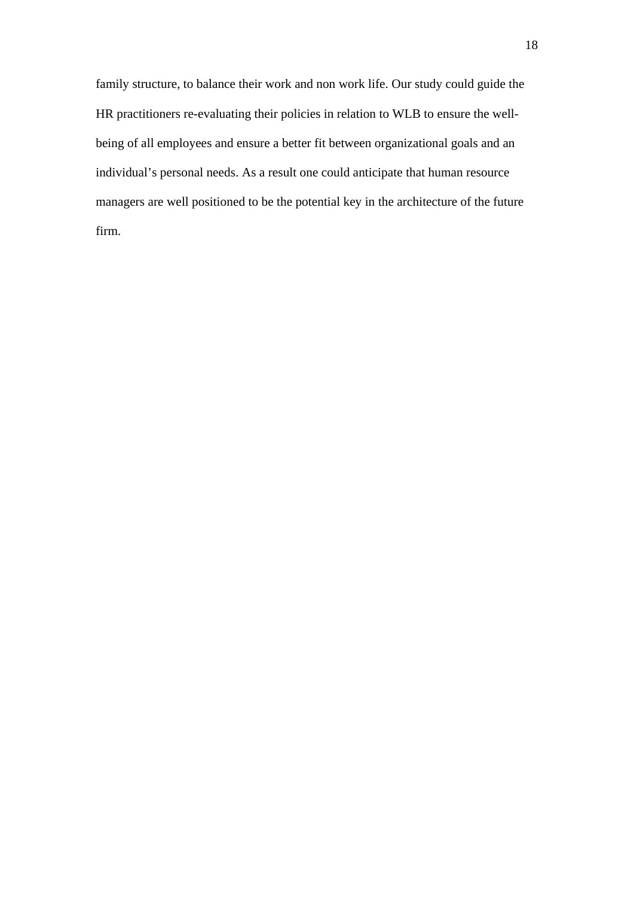family structure, to balance their work and non work life. Our study could guide the HR practitioners re-evaluating their policies in relation to WLB to ensure the wellbeing of all employees and ensure a better fit between organizational goals and an individual's personal needs. As a result one could anticipate that human resource managers are well positioned to be the potential key in the architecture of the future firm.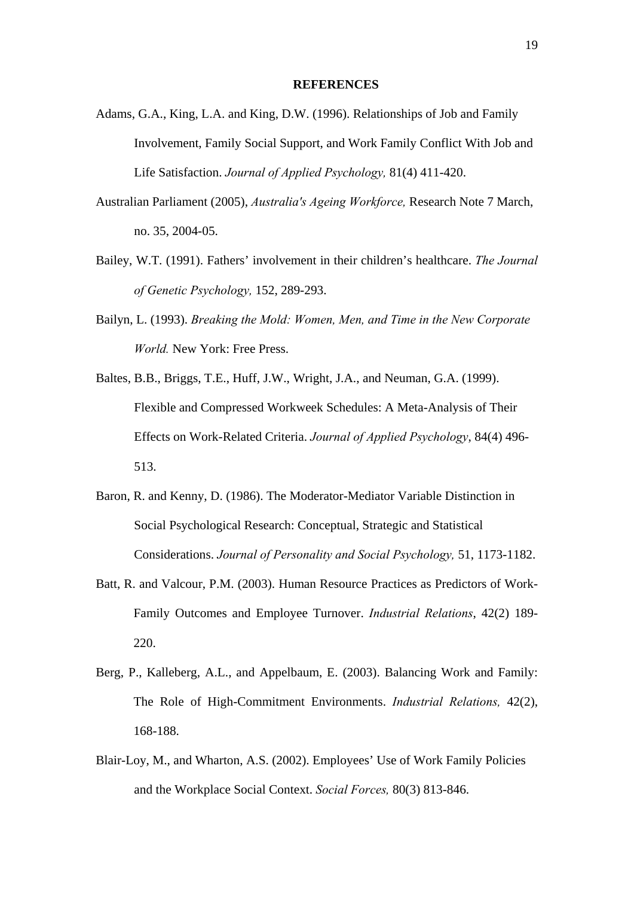#### **REFERENCES**

- Adams, G.A., King, L.A. and King, D.W. (1996). Relationships of Job and Family Involvement, Family Social Support, and Work Family Conflict With Job and Life Satisfaction. *Journal of Applied Psychology,* 81(4) 411-420.
- Australian Parliament (2005), *Australia's Ageing Workforce,* Research Note 7 March, no. 35, 2004-05.
- Bailey, W.T. (1991). Fathers' involvement in their children's healthcare. *The Journal of Genetic Psychology,* 152, 289-293.
- Bailyn, L. (1993). *Breaking the Mold: Women, Men, and Time in the New Corporate World.* New York: Free Press.
- Baltes, B.B., Briggs, T.E., Huff, J.W., Wright, J.A., and Neuman, G.A. (1999). Flexible and Compressed Workweek Schedules: A Meta-Analysis of Their Effects on Work-Related Criteria. *Journal of Applied Psychology*, 84(4) 496- 513.
- Baron, R. and Kenny, D. (1986). The Moderator-Mediator Variable Distinction in Social Psychological Research: Conceptual, Strategic and Statistical Considerations. *Journal of Personality and Social Psychology,* 51, 1173-1182.
- Batt, R. and Valcour, P.M. (2003). Human Resource Practices as Predictors of Work-Family Outcomes and Employee Turnover. *Industrial Relations*, 42(2) 189- 220.
- Berg, P., Kalleberg, A.L., and Appelbaum, E. (2003). Balancing Work and Family: The Role of High-Commitment Environments. *Industrial Relations,* 42(2), 168-188.
- Blair-Loy, M., and Wharton, A.S. (2002). Employees' Use of Work Family Policies and the Workplace Social Context. *Social Forces,* 80(3) 813-846.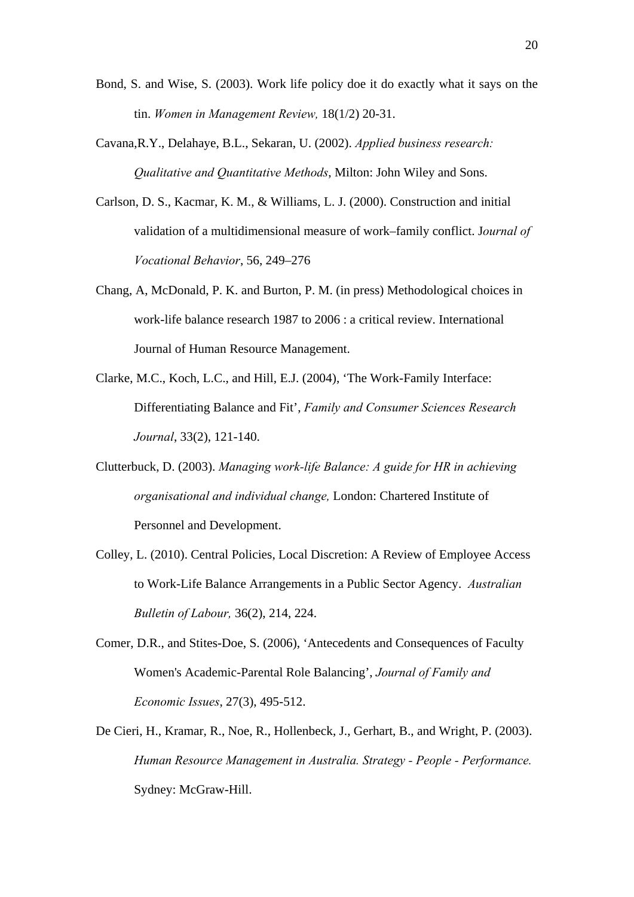- Bond, S. and Wise, S. (2003). Work life policy doe it do exactly what it says on the tin. *Women in Management Review,* 18(1/2) 20-31.
- Cavana,R.Y., Delahaye, B.L., Sekaran, U. (2002). *Applied business research: Qualitative and Quantitative Methods*, Milton: John Wiley and Sons.
- Carlson, D. S., Kacmar, K. M., & Williams, L. J. (2000). Construction and initial validation of a multidimensional measure of work–family conflict. J*ournal of Vocational Behavior*, 56, 249–276
- Chang, A, McDonald, P. K. and Burton, P. M. (in press) Methodological choices in work-life balance research 1987 to 2006 : a critical review. International Journal of Human Resource Management.
- Clarke, M.C., Koch, L.C., and Hill, E.J. (2004), 'The Work-Family Interface: Differentiating Balance and Fit', *Family and Consumer Sciences Research Journal*, 33(2), 121-140.
- Clutterbuck, D. (2003). *Managing work-life Balance: A guide for HR in achieving organisational and individual change,* London: Chartered Institute of Personnel and Development.
- Colley, L. (2010). Central Policies, Local Discretion: A Review of Employee Access to Work-Life Balance Arrangements in a Public Sector Agency. *Australian Bulletin of Labour,* 36(2), 214, 224.
- Comer, D.R., and Stites-Doe, S. (2006), 'Antecedents and Consequences of Faculty Women's Academic-Parental Role Balancing', *Journal of Family and Economic Issues*, 27(3), 495-512.
- De Cieri, H., Kramar, R., Noe, R., Hollenbeck, J., Gerhart, B., and Wright, P. (2003). *Human Resource Management in Australia. Strategy - People - Performance.*  Sydney: McGraw-Hill.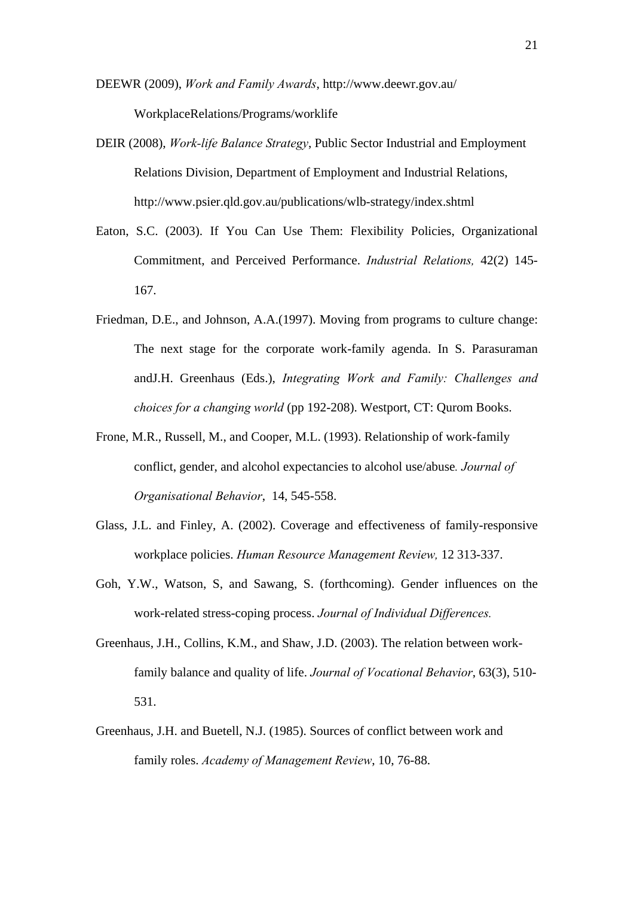DEEWR (2009), *Work and Family Awards*, http://www.deewr.gov.au/ WorkplaceRelations/Programs/worklife

- DEIR (2008), *Work-life Balance Strategy*, Public Sector Industrial and Employment Relations Division, Department of Employment and Industrial Relations, http://www.psier.qld.gov.au/publications/wlb-strategy/index.shtml
- Eaton, S.C. (2003). If You Can Use Them: Flexibility Policies, Organizational Commitment, and Perceived Performance. *Industrial Relations,* 42(2) 145- 167.
- Friedman, D.E., and Johnson, A.A.(1997). Moving from programs to culture change: The next stage for the corporate work-family agenda. In S. Parasuraman andJ.H. Greenhaus (Eds.), *Integrating Work and Family: Challenges and choices for a changing world* (pp 192-208). Westport, CT: Qurom Books.
- Frone, M.R., Russell, M., and Cooper, M.L. (1993). Relationship of work-family conflict, gender, and alcohol expectancies to alcohol use/abuse*. Journal of Organisational Behavior*, 14, 545-558.
- Glass, J.L. and Finley, A. (2002). Coverage and effectiveness of family-responsive workplace policies. *Human Resource Management Review,* 12 313-337.
- Goh, Y.W., Watson, S, and Sawang, S. (forthcoming). Gender influences on the work-related stress-coping process. *Journal of Individual Differences.*
- Greenhaus, J.H., Collins, K.M., and Shaw, J.D. (2003). The relation between workfamily balance and quality of life. *Journal of Vocational Behavior*, 63(3), 510- 531.
- Greenhaus, J.H. and Buetell, N.J. (1985). Sources of conflict between work and family roles. *Academy of Management Review*, 10, 76-88.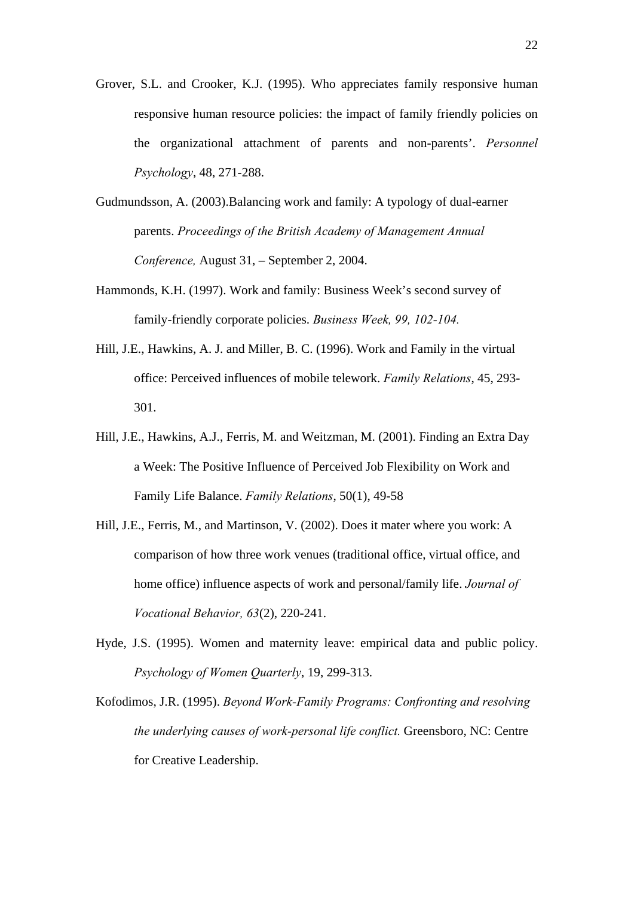- Grover, S.L. and Crooker, K.J. (1995). Who appreciates family responsive human responsive human resource policies: the impact of family friendly policies on the organizational attachment of parents and non-parents'. *Personnel Psychology*, 48, 271-288.
- Gudmundsson, A. (2003).Balancing work and family: A typology of dual-earner parents. *Proceedings of the British Academy of Management Annual Conference,* August 31, – September 2, 2004.
- Hammonds, K.H. (1997). Work and family: Business Week's second survey of family-friendly corporate policies. *Business Week, 99, 102-104.*
- Hill, J.E., Hawkins, A. J. and Miller, B. C. (1996). Work and Family in the virtual office: Perceived influences of mobile telework. *Family Relations*, 45, 293- 301.
- Hill, J.E., Hawkins, A.J., Ferris, M. and Weitzman, M. (2001). Finding an Extra Day a Week: The Positive Influence of Perceived Job Flexibility on Work and Family Life Balance. *Family Relations*, 50(1), 49-58
- Hill, J.E., Ferris, M., and Martinson, V. (2002). Does it mater where you work: A comparison of how three work venues (traditional office, virtual office, and home office) influence aspects of work and personal/family life. *Journal of Vocational Behavior, 63*(2), 220-241.
- Hyde, J.S. (1995). Women and maternity leave: empirical data and public policy. *Psychology of Women Quarterly*, 19, 299-313.
- Kofodimos, J.R. (1995). *Beyond Work-Family Programs: Confronting and resolving the underlying causes of work-personal life conflict.* Greensboro, NC: Centre for Creative Leadership.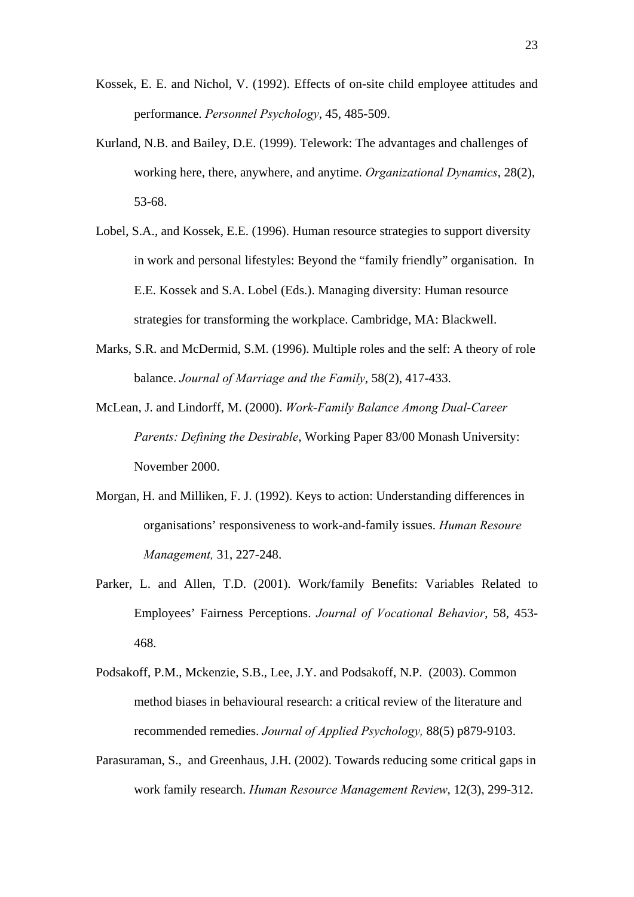- Kossek, E. E. and Nichol, V. (1992). Effects of on-site child employee attitudes and performance. *Personnel Psychology*, 45, 485-509.
- Kurland, N.B. and Bailey, D.E. (1999). Telework: The advantages and challenges of working here, there, anywhere, and anytime. *Organizational Dynamics*, 28(2), 53-68.
- Lobel, S.A., and Kossek, E.E. (1996). Human resource strategies to support diversity in work and personal lifestyles: Beyond the "family friendly" organisation. In E.E. Kossek and S.A. Lobel (Eds.). Managing diversity: Human resource strategies for transforming the workplace. Cambridge, MA: Blackwell.
- Marks, S.R. and McDermid, S.M. (1996). Multiple roles and the self: A theory of role balance. *Journal of Marriage and the Family*, 58(2), 417-433.
- McLean, J. and Lindorff, M. (2000). *Work-Family Balance Among Dual-Career Parents: Defining the Desirable*, Working Paper 83/00 Monash University: November 2000.
- Morgan, H. and Milliken, F. J. (1992). Keys to action: Understanding differences in organisations' responsiveness to work-and-family issues. *Human Resoure Management,* 31, 227-248.
- Parker, L. and Allen, T.D. (2001). Work/family Benefits: Variables Related to Employees' Fairness Perceptions. *Journal of Vocational Behavior*, 58, 453- 468.
- Podsakoff, P.M., Mckenzie, S.B., Lee, J.Y. and Podsakoff, N.P. (2003). Common method biases in behavioural research: a critical review of the literature and recommended remedies. *Journal of Applied Psychology,* 88(5) p879-9103.
- Parasuraman, S., and Greenhaus, J.H. (2002). Towards reducing some critical gaps in work family research. *Human Resource Management Review*, 12(3), 299-312.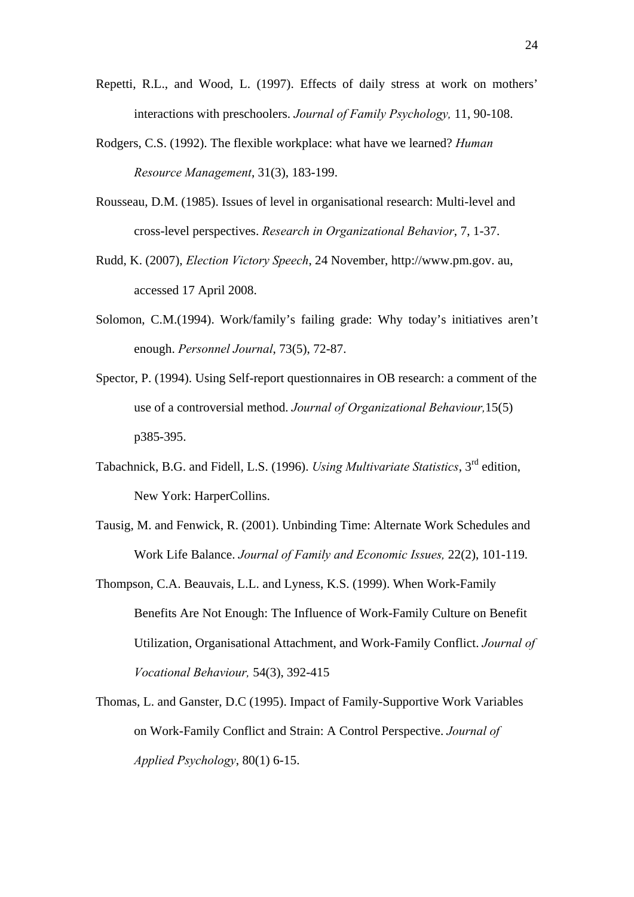- Repetti, R.L., and Wood, L. (1997). Effects of daily stress at work on mothers' interactions with preschoolers. *Journal of Family Psychology,* 11, 90-108.
- Rodgers, C.S. (1992). The flexible workplace: what have we learned? *Human Resource Management*, 31(3), 183-199.
- Rousseau, D.M. (1985). Issues of level in organisational research: Multi-level and cross-level perspectives. *Research in Organizational Behavior*, 7, 1-37.
- Rudd, K. (2007), *Election Victory Speech*, 24 November, http://www.pm.gov. au, accessed 17 April 2008.
- Solomon, C.M.(1994). Work/family's failing grade: Why today's initiatives aren't enough. *Personnel Journal*, 73(5), 72-87.
- Spector, P. (1994). Using Self-report questionnaires in OB research: a comment of the use of a controversial method. *Journal of Organizational Behaviour,*15(5) p385-395.
- Tabachnick, B.G. and Fidell, L.S. (1996). *Using Multivariate Statistics*, 3rd edition, New York: HarperCollins.
- Tausig, M. and Fenwick, R. (2001). Unbinding Time: Alternate Work Schedules and Work Life Balance. *Journal of Family and Economic Issues,* 22(2), 101-119.
- Thompson, C.A. Beauvais, L.L. and Lyness, K.S. (1999). When Work-Family Benefits Are Not Enough: The Influence of Work-Family Culture on Benefit Utilization, Organisational Attachment, and Work-Family Conflict. *Journal of Vocational Behaviour,* 54(3), 392-415
- Thomas, L. and Ganster, D.C (1995). Impact of Family-Supportive Work Variables on Work-Family Conflict and Strain: A Control Perspective. *Journal of Applied Psychology*, 80(1) 6-15.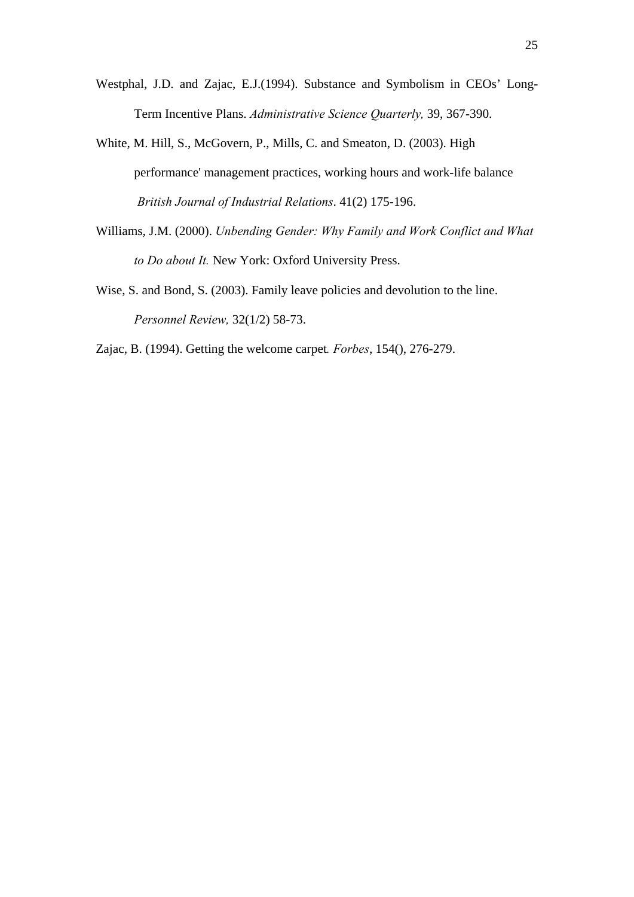- Westphal, J.D. and Zajac, E.J.(1994). Substance and Symbolism in CEOs' Long-Term Incentive Plans. *Administrative Science Quarterly,* 39, 367-390.
- White, M. Hill, S., McGovern, P., Mills, C. and Smeaton, D. (2003). High performance' management practices, working hours and work-life balance  *British Journal of Industrial Relations*. 41(2) 175-196.
- Williams, J.M. (2000). *Unbending Gender: Why Family and Work Conflict and What to Do about It.* New York: Oxford University Press.
- Wise, S. and Bond, S. (2003). Family leave policies and devolution to the line. *Personnel Review,* 32(1/2) 58-73.
- Zajac, B. (1994). Getting the welcome carpet*. Forbes*, 154(), 276-279.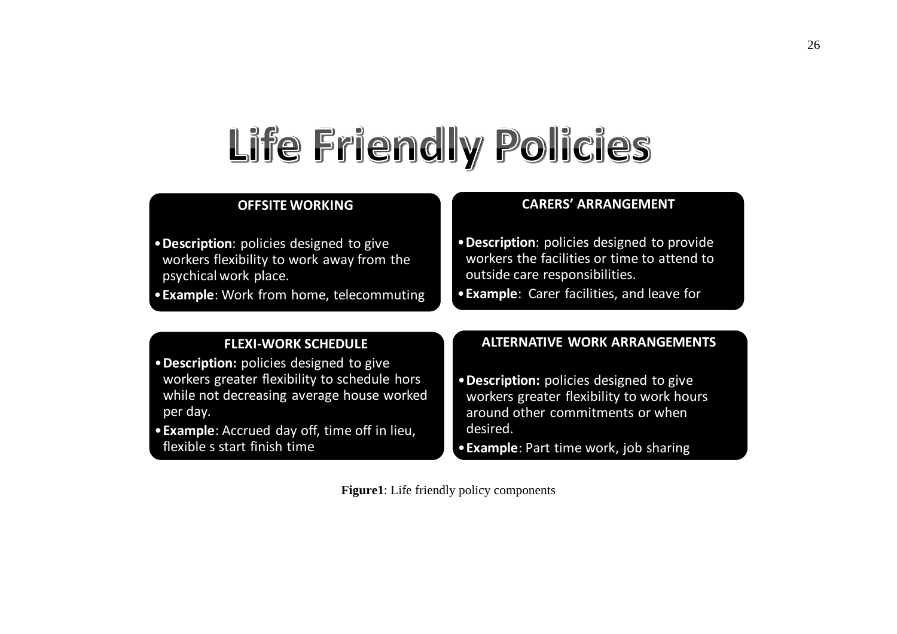# Life Friendly Policies

#### **OFFSITE WORKING**

•**Description**: policies designed to give workers flexibility to work away from the psychical work place.

•**Example**: Work from home, telecommuting

#### **CARERS' ARRANGEMENT**

- •**Description**: policies designed to provide workers the facilities or time to attend to outside care responsibilities.
- •**Example**: Carer facilities, and leave for

#### **FLEXI‐WORK SCHEDULE**

- •**Description:** policies designed to give workers greater flexibility to schedule hors while not decreasing average house worked per day.
- •**Example**: Accrued day off, time off in lieu, flexible <sup>s</sup> start finish time

#### **ALTERNATIVE WORK ARRANGEMENTS**

- •**Description:** policies designed to give workers greater flexibility to work hours around other commitments or when desired.
- •**Example**: Part time work, job sharing

**Figure1**: Life friendly policy components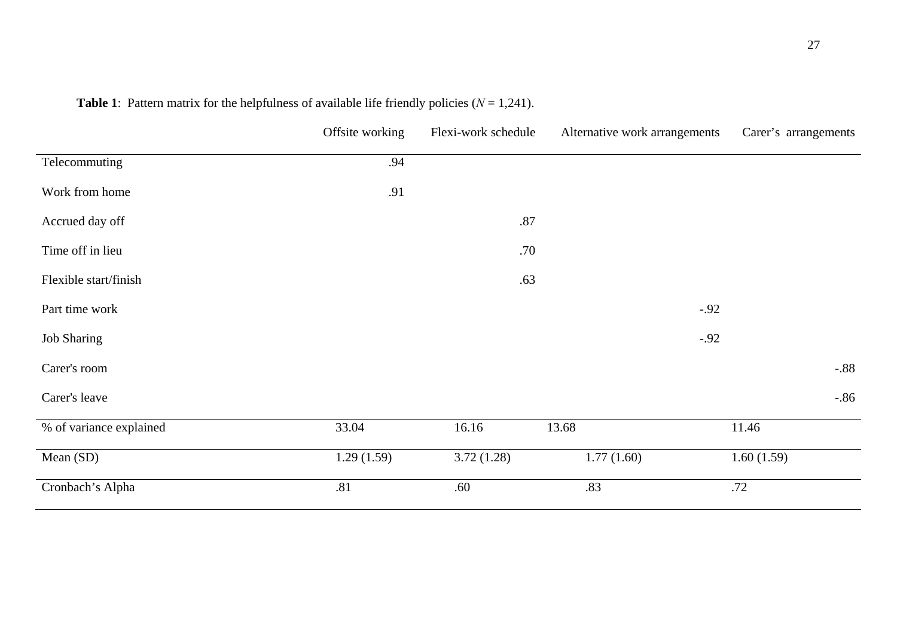|                         | Offsite working | Flexi-work schedule | Alternative work arrangements | Carer's arrangements |
|-------------------------|-----------------|---------------------|-------------------------------|----------------------|
| Telecommuting           | .94             |                     |                               |                      |
| Work from home          | .91             |                     |                               |                      |
| Accrued day off         |                 | $.87\,$             |                               |                      |
| Time off in lieu        |                 | .70                 |                               |                      |
| Flexible start/finish   |                 | .63                 |                               |                      |
| Part time work          |                 |                     |                               | $-.92$               |
| <b>Job Sharing</b>      |                 |                     |                               | $-.92$               |
| Carer's room            |                 |                     |                               | $-.88$               |
| Carer's leave           |                 |                     |                               | $-.86$               |
| % of variance explained | 33.04           | 16.16               | 13.68                         | 11.46                |
| Mean (SD)               | 1.29(1.59)      | 3.72(1.28)          | 1.77(1.60)                    | 1.60(1.59)           |
| Cronbach's Alpha        | .81             | .60                 | .83                           | .72                  |

| <b>Table 1:</b> Pattern matrix for the helpfulness of available life friendly policies ( $N = 1,241$ ). |  |
|---------------------------------------------------------------------------------------------------------|--|
|---------------------------------------------------------------------------------------------------------|--|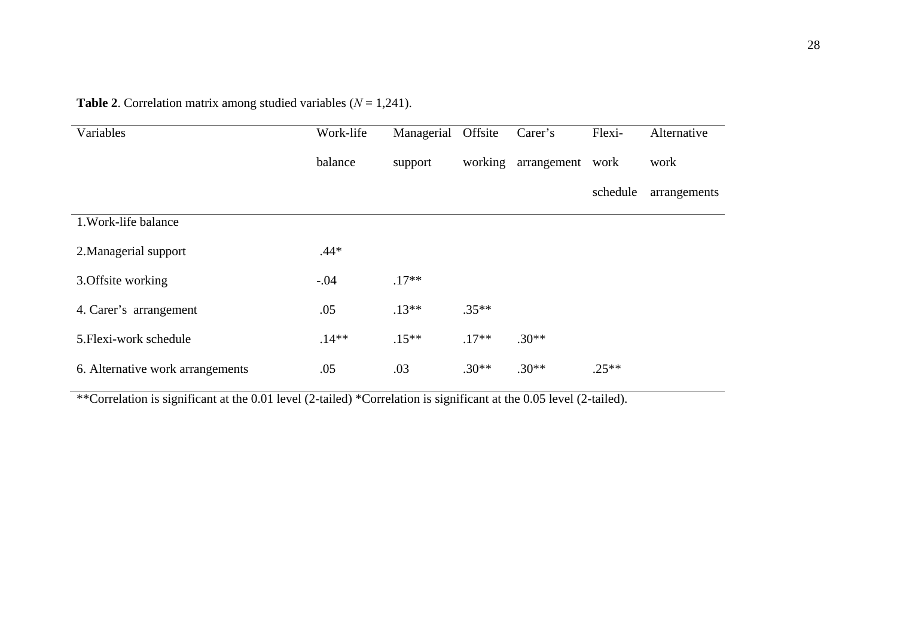| Variables                        | Work-life | Managerial | Offsite | Carer's     | Flexi-   | Alternative  |
|----------------------------------|-----------|------------|---------|-------------|----------|--------------|
|                                  | balance   | support    | working | arrangement | work     | work         |
|                                  |           |            |         |             | schedule | arrangements |
| 1. Work-life balance             |           |            |         |             |          |              |
| 2. Managerial support            | $.44*$    |            |         |             |          |              |
| 3. Offsite working               | $-.04$    | $.17**$    |         |             |          |              |
| 4. Carer's arrangement           | .05       | $.13**$    | $.35**$ |             |          |              |
| 5. Flexi-work schedule           | $.14**$   | $.15***$   | $.17**$ | $.30**$     |          |              |
| 6. Alternative work arrangements | .05       | .03        | $.30**$ | $.30**$     | $.25**$  |              |

**Table 2.** Correlation matrix among studied variables  $(N = 1,241)$ .

\*\*Correlation is significant at the 0.01 level (2-tailed) \*Correlation is significant at the 0.05 level (2-tailed).